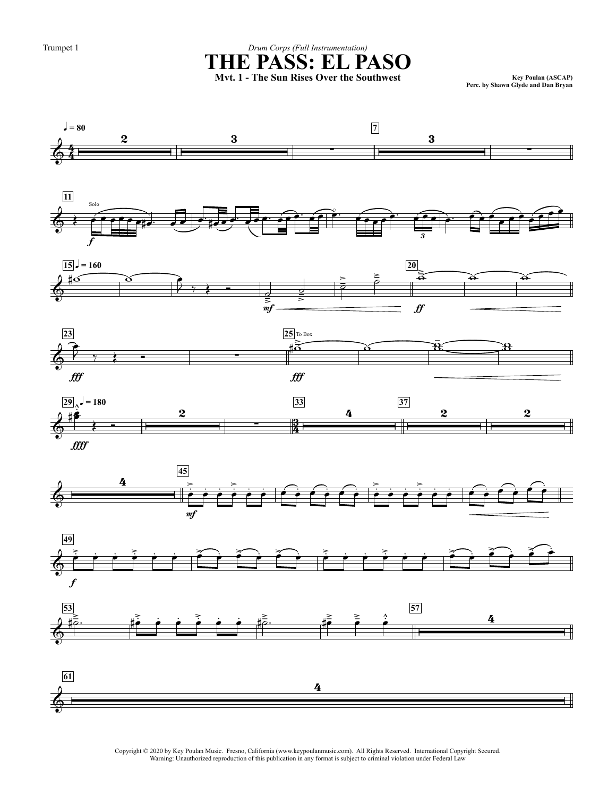## Drum Corps (Full Instrumentation) **THE PASS: EL PASO** Mvt. 1 - The Sun Rises Over the Southwest

Key Poulan (ASCAP)<br>Perc. by Shawn Glyde and Dan Bryan

















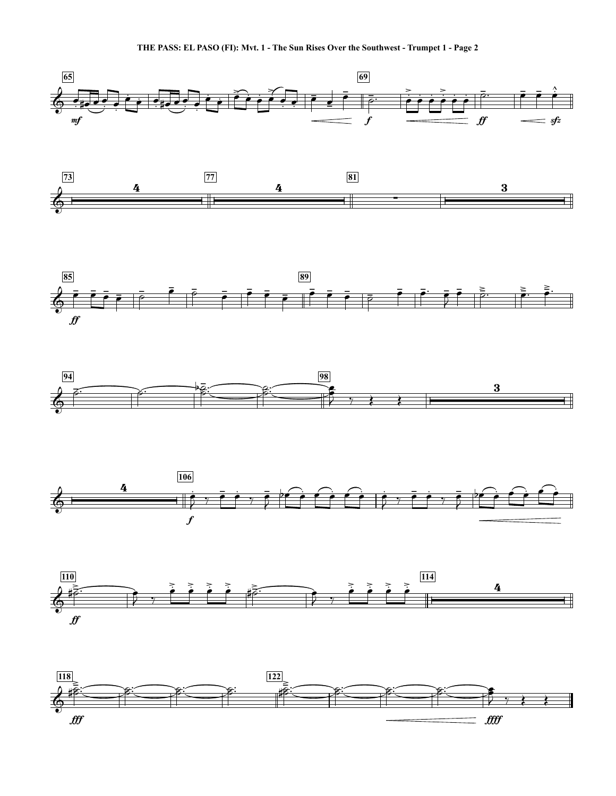











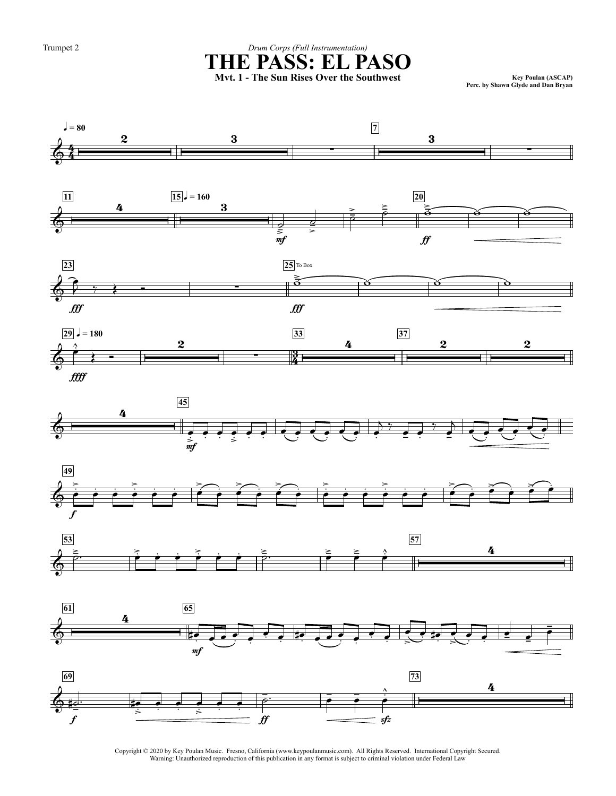# Drum Corps (Full Instrumentation) THE PASS: EL PASO



Copyright © 2020 by Key Poulan Music. Fresno, California (www.keypoulanmusic.com). All Rights Reserved. International Copyright Secured. Warning: Unauthorized reproduction of this publication in any format is subject to criminal violation under Federal Law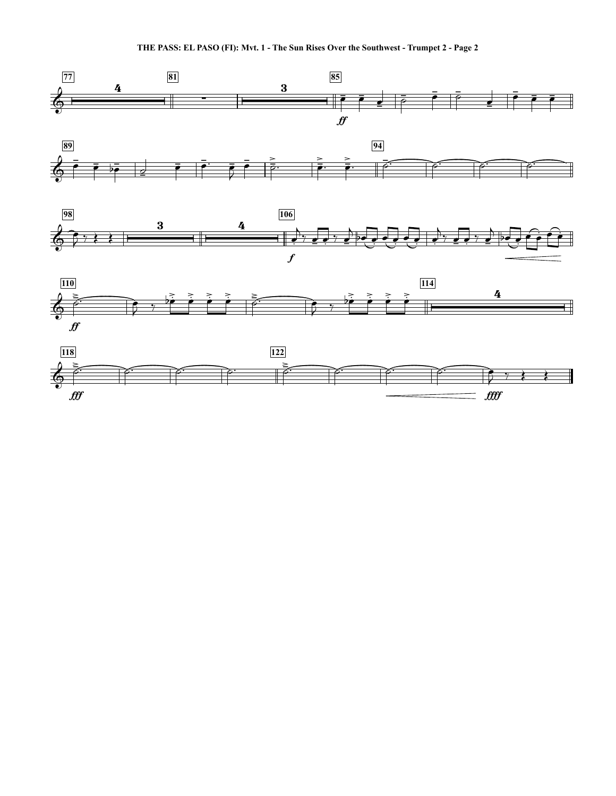







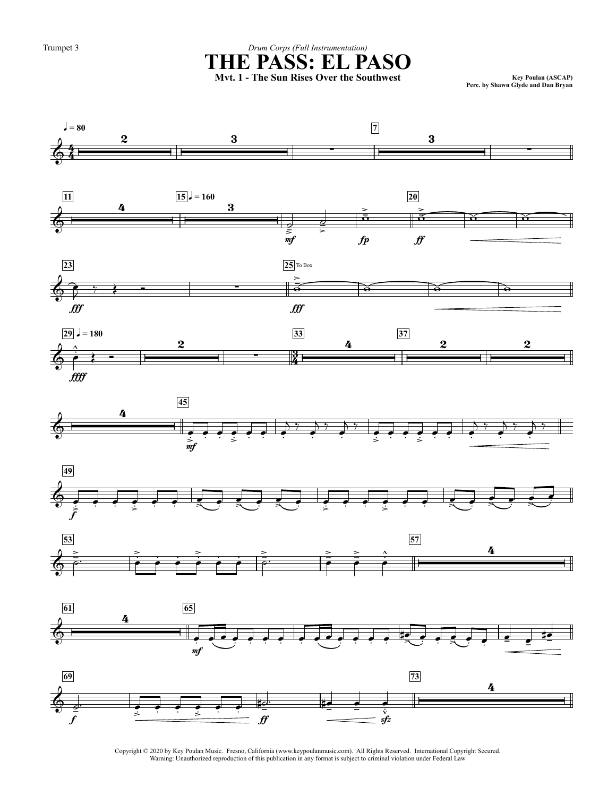## Drum Corps (Full Instrumentation) THE PASS: EL PASO



Copyright © 2020 by Key Poulan Music. Fresno, California (www.keypoulanmusic.com). All Rights Reserved. International Copyright Secured. Warning: Unauthorized reproduction of this publication in any format is subject to criminal violation under Federal Law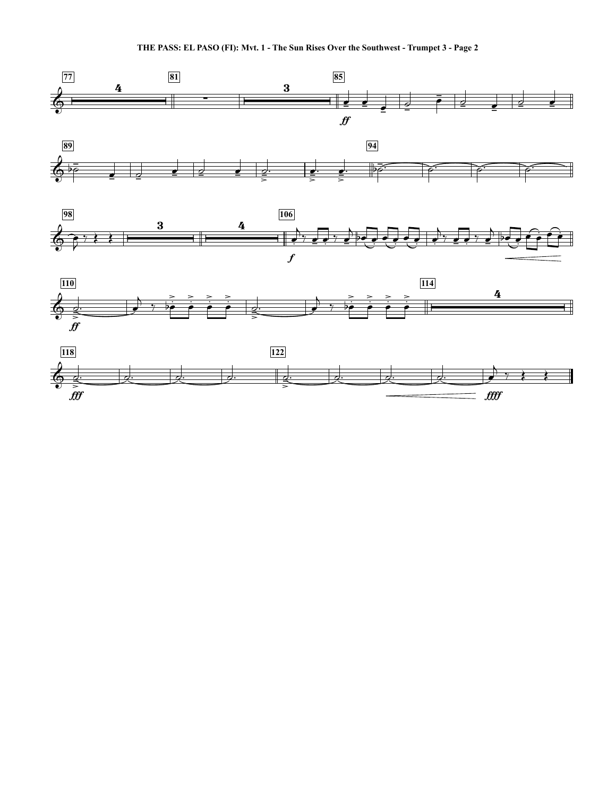







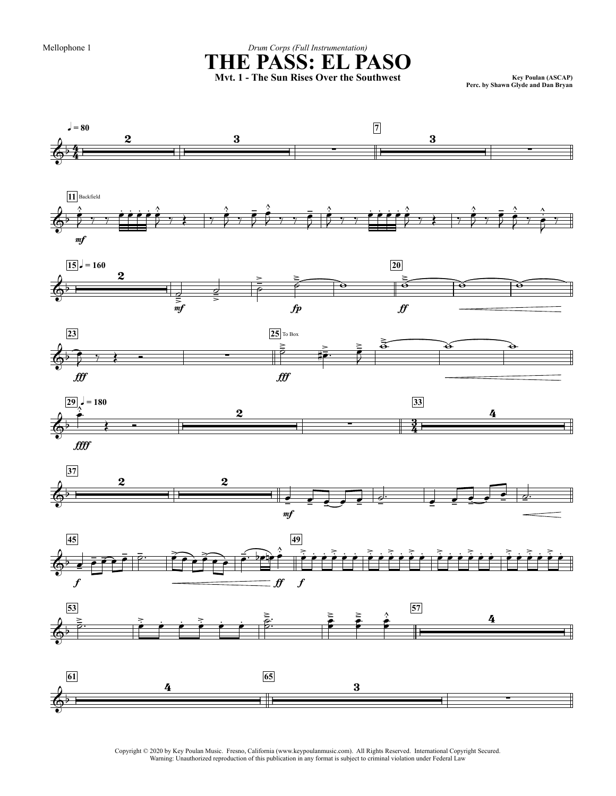## Drum Corps (Full Instrumentation) **THE PASS: EL PASO** Myt. 1 - The Sun Rises Over the Southwest

Key Poulan (ASCAP)<br>Perc. by Shawn Glyde and Dan Bryan

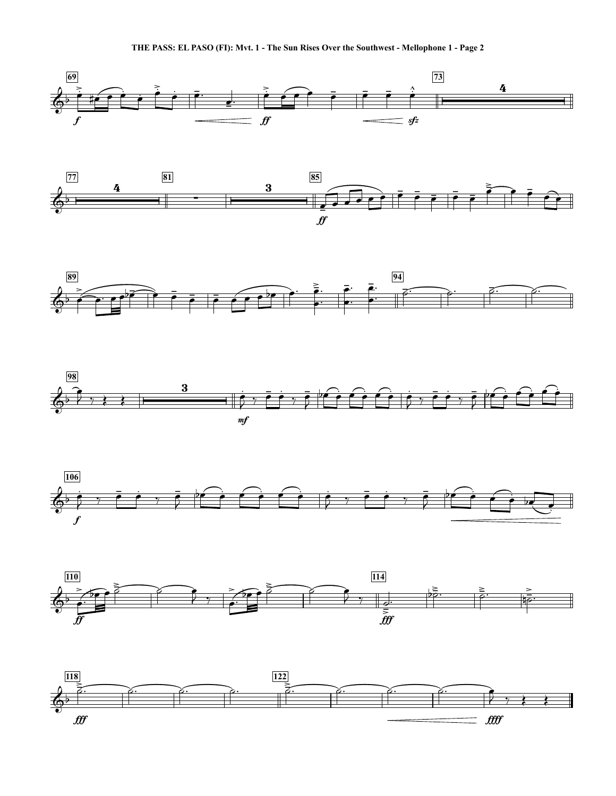











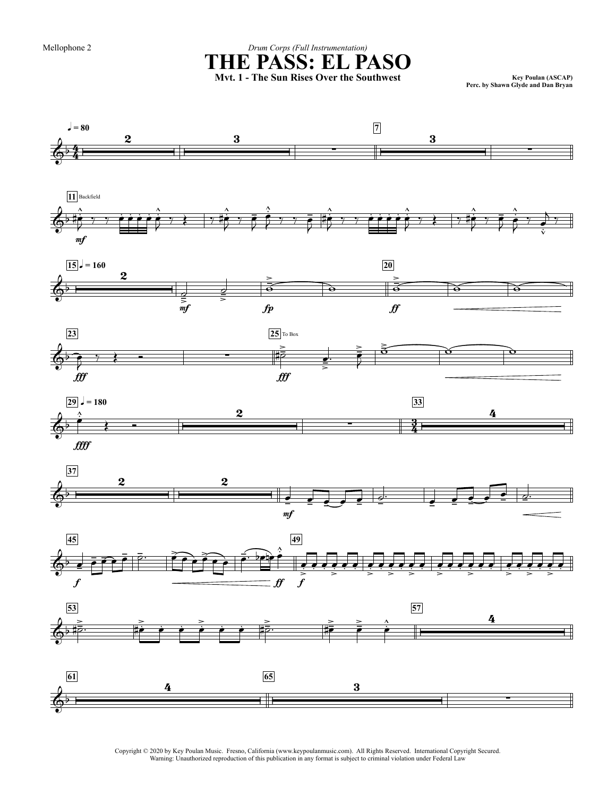# Drum Corps (Full Instrumentation) THE PASS: EL PASO

Key Poulan (ASCAP)<br>Perc. by Shawn Glyde and Dan Bryan

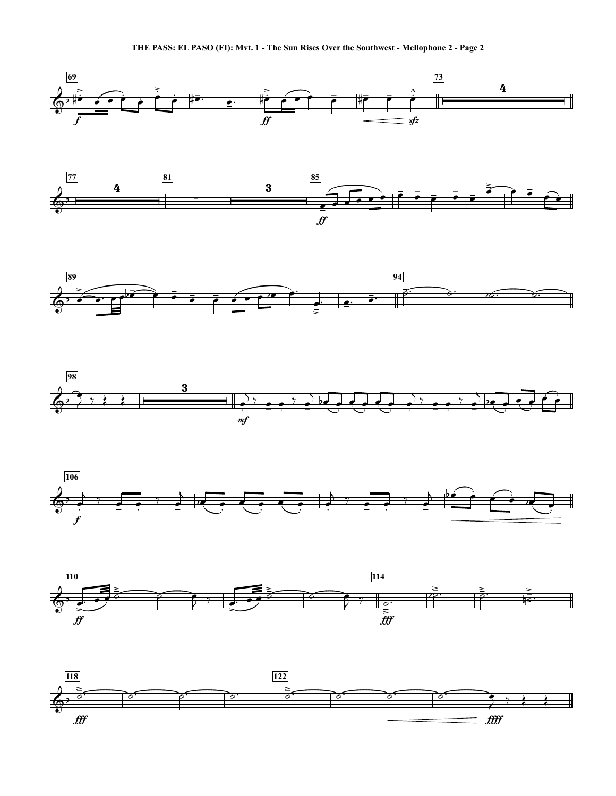











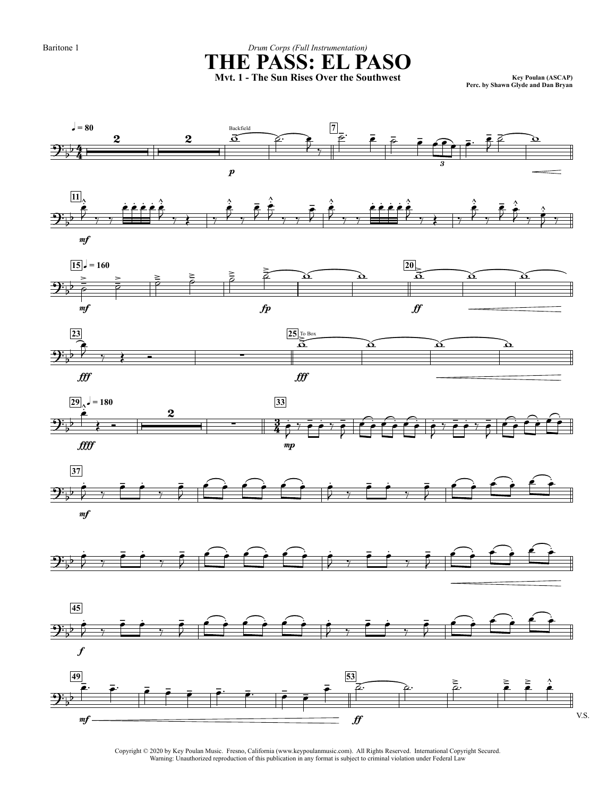



Copyright © 2020 by Key Poulan Music. Fresno, California (www.keypoulanmusic.com). All Rights Reserved. International Copyright Secured.<br>Warning: Uportherized repreduction of this publisation in one format is subject to e Warning: Unauthorized reproduction of this publication in any format is subject to criminal violation under Federal Law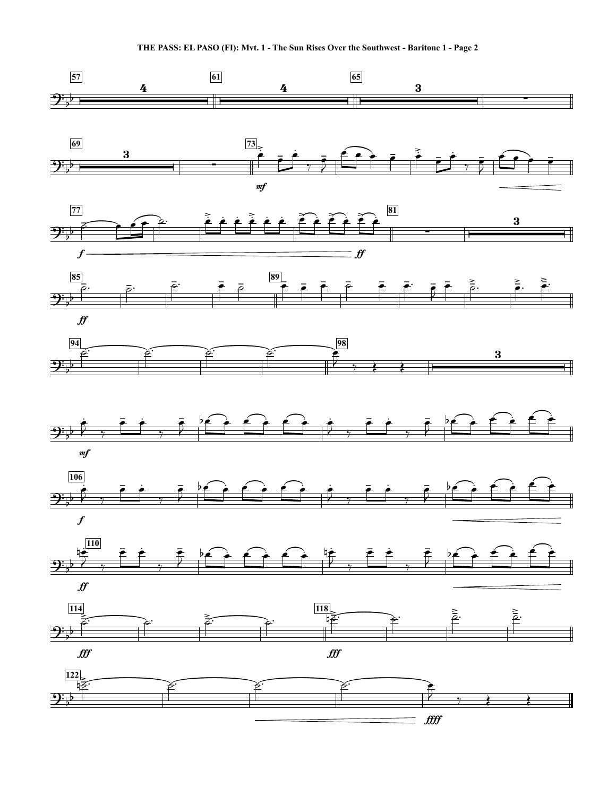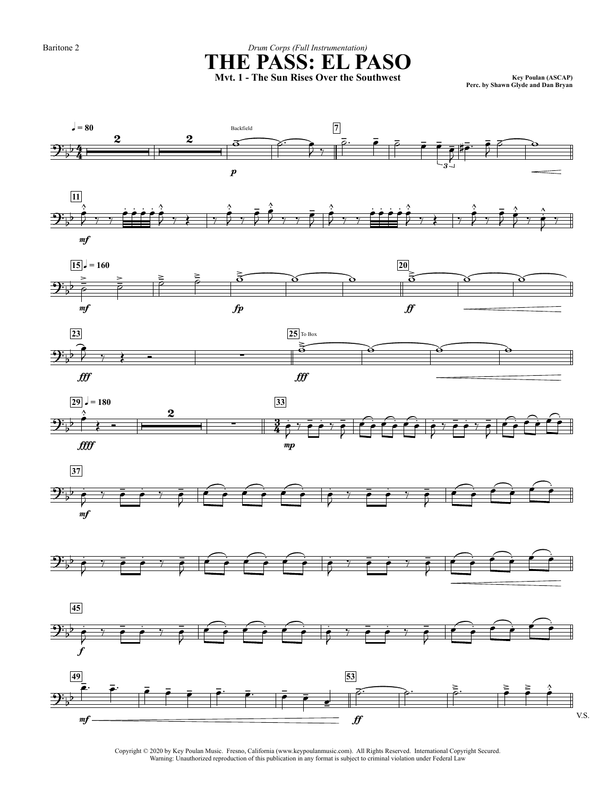

Copyright © 2020 by Key Poulan Music. Fresno, California (www.keypoulanmusic.com). All Rights Reserved. International Copyright Secured.<br>Warning: Uportherized repreduction of this publisation in one format is subject to e Warning: Unauthorized reproduction of this publication in any format is subject to criminal violation under Federal Law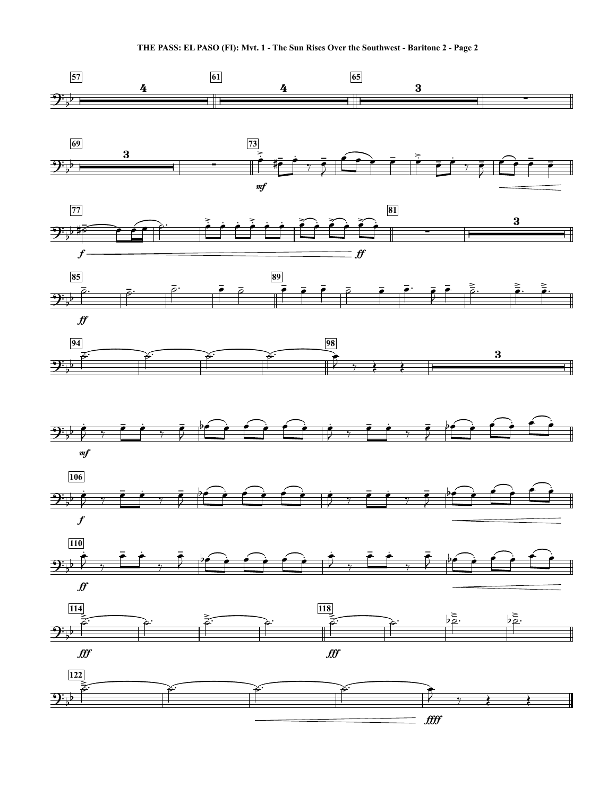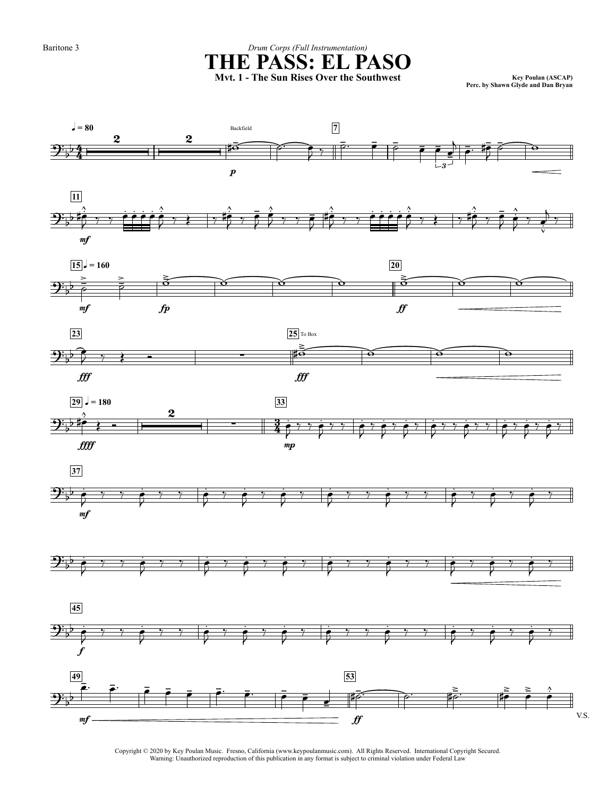

Copyright © 2020 by Key Poulan Music. Fresno, California (www.keypoulanmusic.com). All Rights Reserved. International Copyright Secured.<br>Warning: Uportherized repreduction of this publisation in one format is subject to e Warning: Unauthorized reproduction of this publication in any format is subject to criminal violation under Federal Law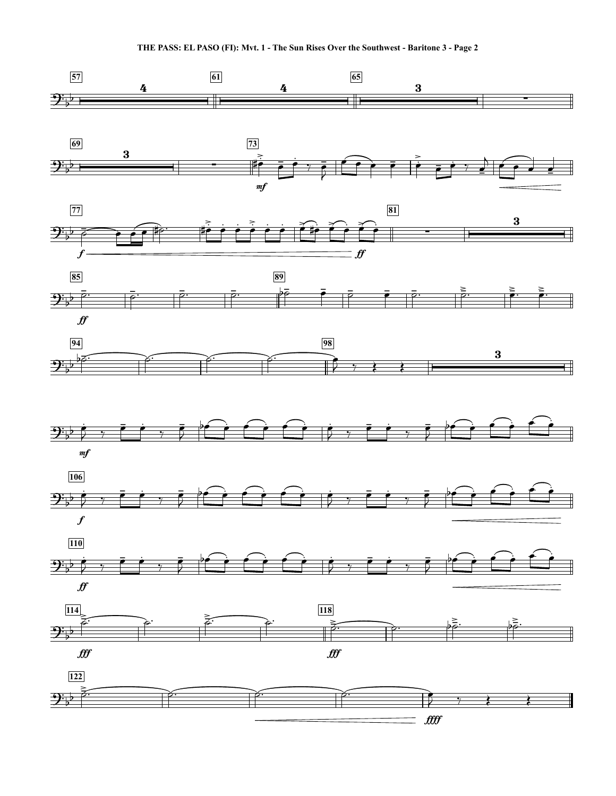![](_page_15_Figure_1.jpeg)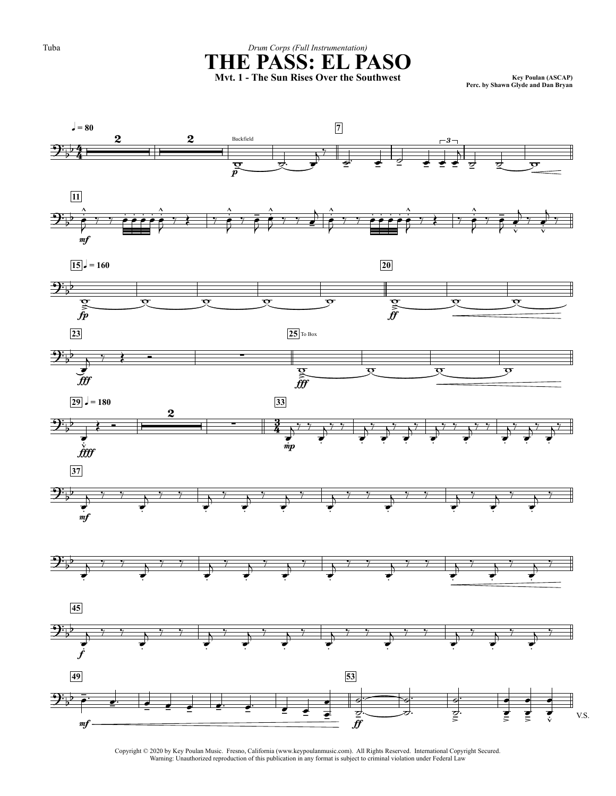**Mvt. 1 - The Sun Rises Over the Southwest THE PASS: EL PASO**

*Drum Corps (Full Instrumentation)*

![](_page_16_Figure_2.jpeg)

Copyright © 2020 by Key Poulan Music. Fresno, California (www.keypoulanmusic.com). All Rights Reserved. International Copyright Secured.<br>Warning: Uportherized repreduction of this publisation in one format is subject to e Warning: Unauthorized reproduction of this publication in any format is subject to criminal violation under Federal Law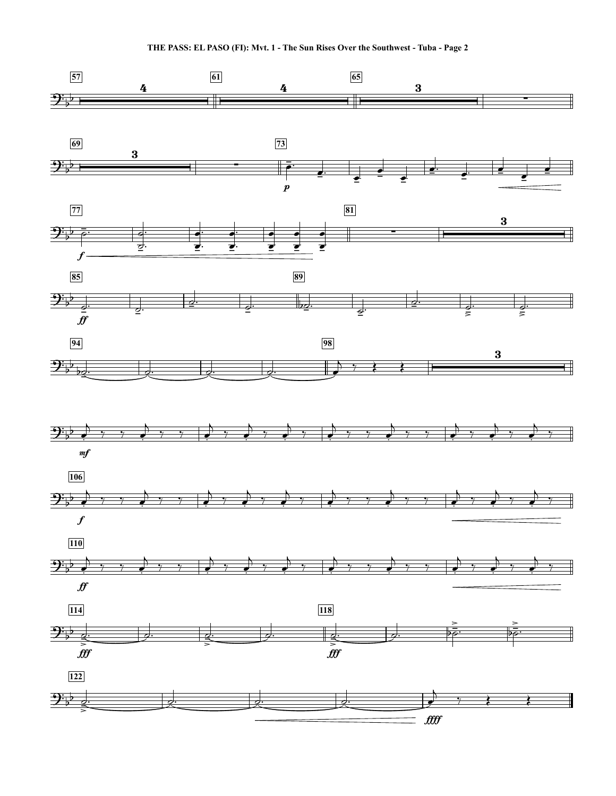![](_page_17_Figure_1.jpeg)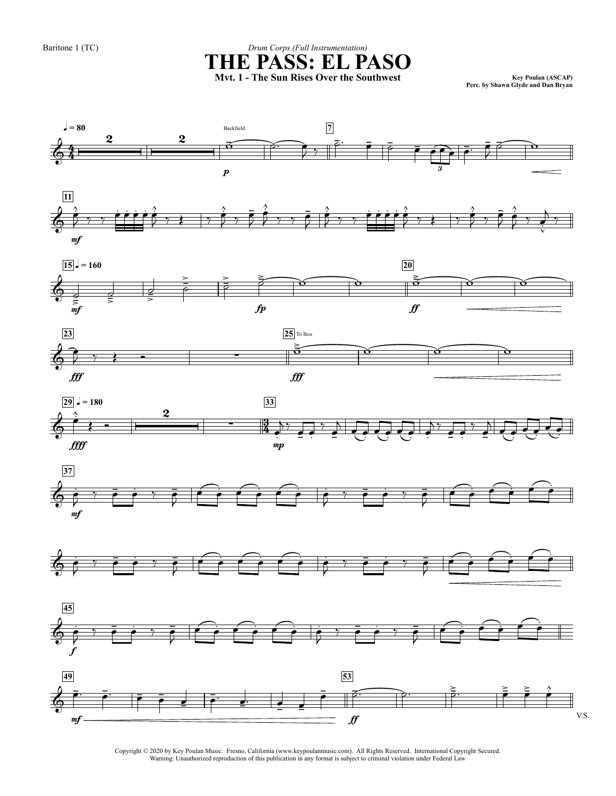### Drum Corps (Full Instrumentation) **THE PASS: EL PASO** Mvt. 1 - The Sun Rises Over the Southwest

![](_page_18_Figure_3.jpeg)

Copyright © 2020 by Key Poulan Music. Fresno, California (www.keypoulanmusic.com). All Rights Reserved. International Copyright Secured. Warning: Unauthorized reproduction of this publication in any format is subject to criminal violation under Federal Law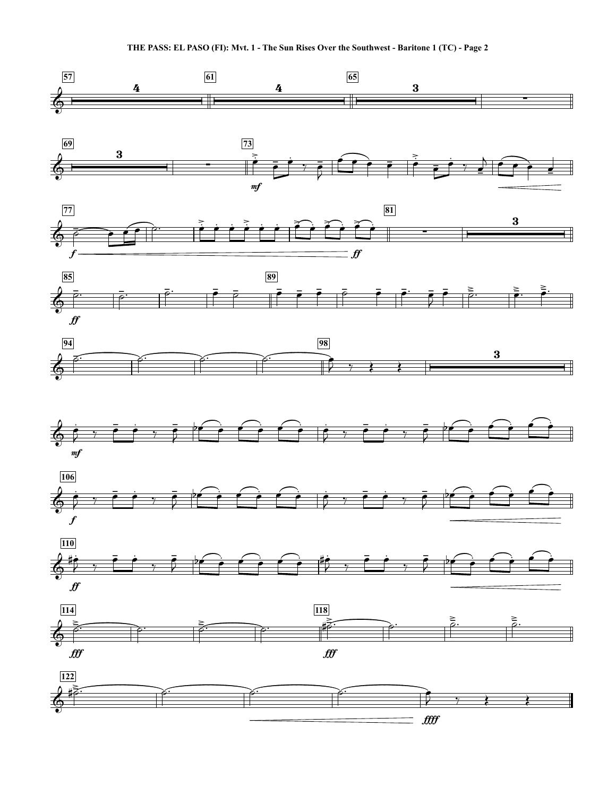![](_page_19_Figure_0.jpeg)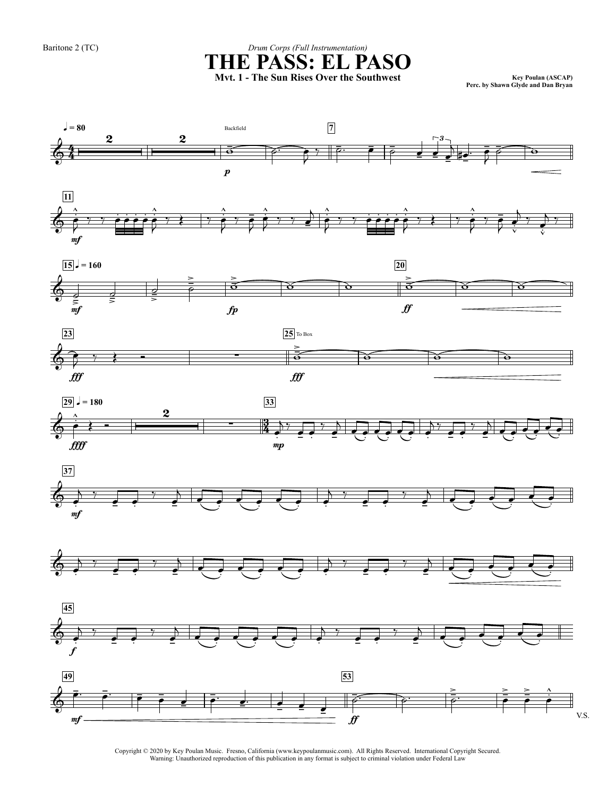![](_page_20_Figure_3.jpeg)

Copyright © 2020 by Key Poulan Music. Fresno, California (www.keypoulanmusic.com). All Rights Reserved. International Copyright Secured.<br>Warning: Uportherized repreduction of this publisation in one format is subject to e Warning: Unauthorized reproduction of this publication in any format is subject to criminal violation under Federal Law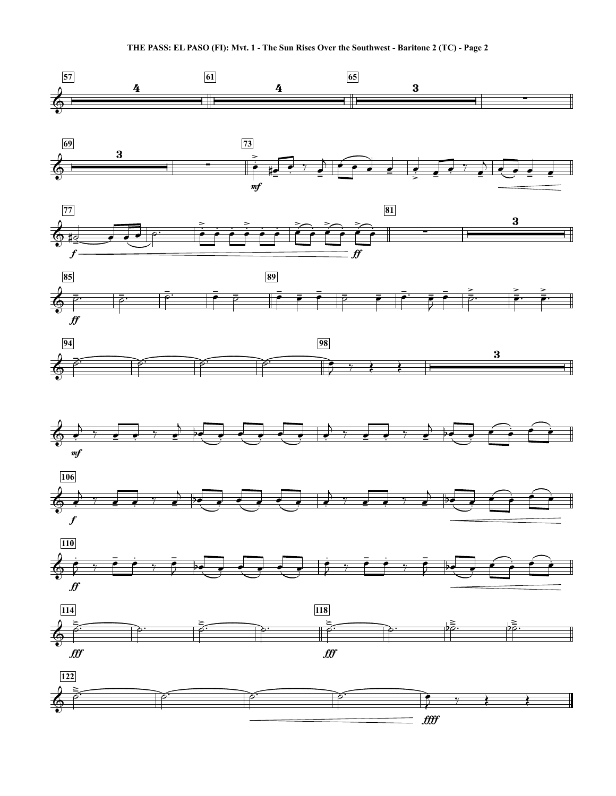![](_page_21_Figure_0.jpeg)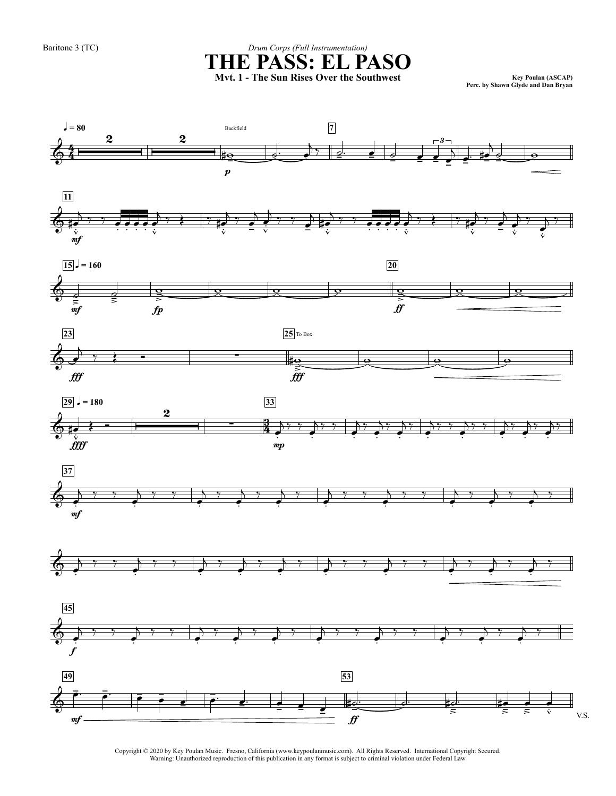### Drum Corps (Full Instrumentation) **THE PASS: EL PASO** Myt. 1 - The Sun Rises Over the Southwest

Key Poulan (ASCAP)<br>Perc. by Shawn Glyde and Dan Bryan

![](_page_22_Figure_3.jpeg)